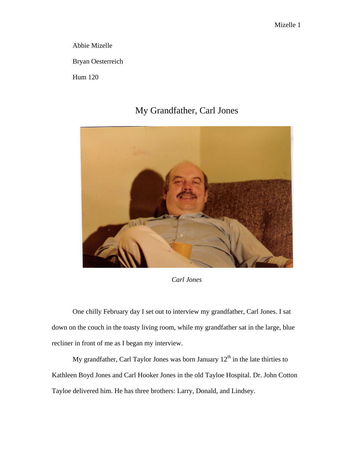Abbie Mizelle

Bryan Oesterreich

Hum 120

## My Grandfather, Carl Jones



*Carl Jones* 

One chilly February day I set out to interview my grandfather, Carl Jones. I sat down on the couch in the toasty living room, while my grandfather sat in the large, blue recliner in front of me as I began my interview.

My grandfather, Carl Taylor Jones was born January  $12<sup>th</sup>$  in the late thirties to Kathleen Boyd Jones and Carl Hooker Jones in the old Tayloe Hospital. Dr. John Cotton Tayloe delivered him. He has three brothers: Larry, Donald, and Lindsey.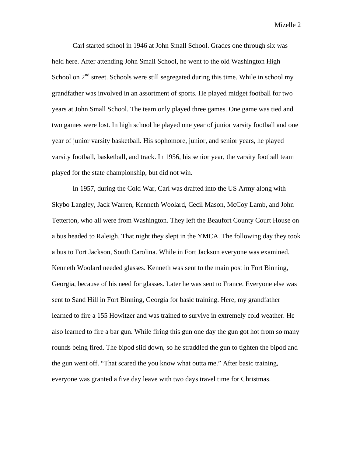Carl started school in 1946 at John Small School. Grades one through six was held here. After attending John Small School, he went to the old Washington High School on  $2<sup>nd</sup>$  street. Schools were still segregated during this time. While in school my grandfather was involved in an assortment of sports. He played midget football for two years at John Small School. The team only played three games. One game was tied and two games were lost. In high school he played one year of junior varsity football and one year of junior varsity basketball. His sophomore, junior, and senior years, he played varsity football, basketball, and track. In 1956, his senior year, the varsity football team played for the state championship, but did not win.

In 1957, during the Cold War, Carl was drafted into the US Army along with Skybo Langley, Jack Warren, Kenneth Woolard, Cecil Mason, McCoy Lamb, and John Tetterton, who all were from Washington. They left the Beaufort County Court House on a bus headed to Raleigh. That night they slept in the YMCA. The following day they took a bus to Fort Jackson, South Carolina. While in Fort Jackson everyone was examined. Kenneth Woolard needed glasses. Kenneth was sent to the main post in Fort Binning, Georgia, because of his need for glasses. Later he was sent to France. Everyone else was sent to Sand Hill in Fort Binning, Georgia for basic training. Here, my grandfather learned to fire a 155 Howitzer and was trained to survive in extremely cold weather. He also learned to fire a bar gun. While firing this gun one day the gun got hot from so many rounds being fired. The bipod slid down, so he straddled the gun to tighten the bipod and the gun went off. "That scared the you know what outta me." After basic training, everyone was granted a five day leave with two days travel time for Christmas.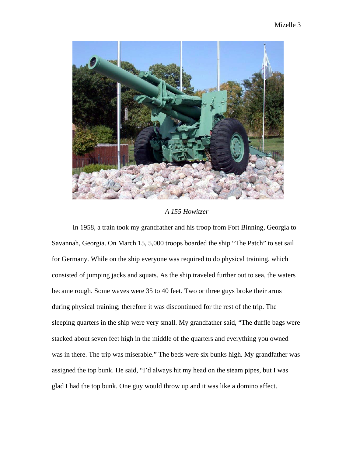

*A 155 Howitzer* 

In 1958, a train took my grandfather and his troop from Fort Binning, Georgia to Savannah, Georgia. On March 15, 5,000 troops boarded the ship "The Patch" to set sail for Germany. While on the ship everyone was required to do physical training, which consisted of jumping jacks and squats. As the ship traveled further out to sea, the waters became rough. Some waves were 35 to 40 feet. Two or three guys broke their arms during physical training; therefore it was discontinued for the rest of the trip. The sleeping quarters in the ship were very small. My grandfather said, "The duffle bags were stacked about seven feet high in the middle of the quarters and everything you owned was in there. The trip was miserable." The beds were six bunks high. My grandfather was assigned the top bunk. He said, "I'd always hit my head on the steam pipes, but I was glad I had the top bunk. One guy would throw up and it was like a domino affect.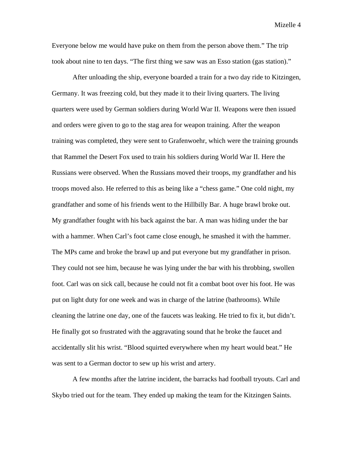Everyone below me would have puke on them from the person above them." The trip took about nine to ten days. "The first thing we saw was an Esso station (gas station)."

After unloading the ship, everyone boarded a train for a two day ride to Kitzingen, Germany. It was freezing cold, but they made it to their living quarters. The living quarters were used by German soldiers during World War II. Weapons were then issued and orders were given to go to the stag area for weapon training. After the weapon training was completed, they were sent to Grafenwoehr, which were the training grounds that Rammel the Desert Fox used to train his soldiers during World War II. Here the Russians were observed. When the Russians moved their troops, my grandfather and his troops moved also. He referred to this as being like a "chess game." One cold night, my grandfather and some of his friends went to the Hillbilly Bar. A huge brawl broke out. My grandfather fought with his back against the bar. A man was hiding under the bar with a hammer. When Carl's foot came close enough, he smashed it with the hammer. The MPs came and broke the brawl up and put everyone but my grandfather in prison. They could not see him, because he was lying under the bar with his throbbing, swollen foot. Carl was on sick call, because he could not fit a combat boot over his foot. He was put on light duty for one week and was in charge of the latrine (bathrooms). While cleaning the latrine one day, one of the faucets was leaking. He tried to fix it, but didn't. He finally got so frustrated with the aggravating sound that he broke the faucet and accidentally slit his wrist. "Blood squirted everywhere when my heart would beat." He was sent to a German doctor to sew up his wrist and artery.

A few months after the latrine incident, the barracks had football tryouts. Carl and Skybo tried out for the team. They ended up making the team for the Kitzingen Saints.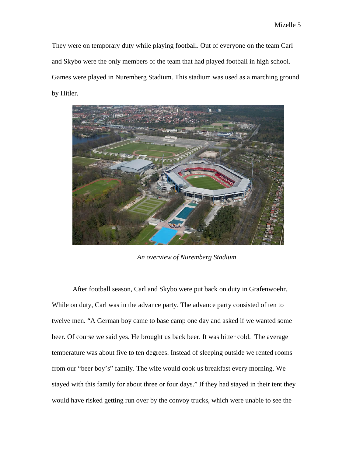They were on temporary duty while playing football. Out of everyone on the team Carl and Skybo were the only members of the team that had played football in high school. Games were played in Nuremberg Stadium. This stadium was used as a marching ground by Hitler.



*An overview of Nuremberg Stadium* 

After football season, Carl and Skybo were put back on duty in Grafenwoehr. While on duty, Carl was in the advance party. The advance party consisted of ten to twelve men. "A German boy came to base camp one day and asked if we wanted some beer. Of course we said yes. He brought us back beer. It was bitter cold. The average temperature was about five to ten degrees. Instead of sleeping outside we rented rooms from our "beer boy's" family. The wife would cook us breakfast every morning. We stayed with this family for about three or four days." If they had stayed in their tent they would have risked getting run over by the convoy trucks, which were unable to see the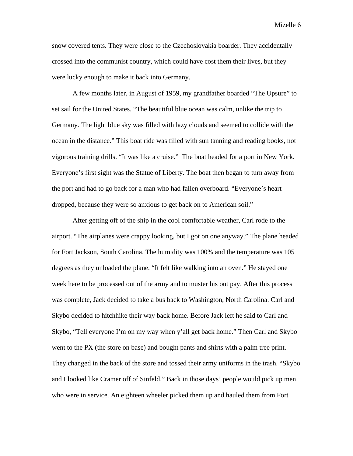snow covered tents. They were close to the Czechoslovakia boarder. They accidentally crossed into the communist country, which could have cost them their lives, but they were lucky enough to make it back into Germany.

A few months later, in August of 1959, my grandfather boarded "The Upsure" to set sail for the United States. "The beautiful blue ocean was calm, unlike the trip to Germany. The light blue sky was filled with lazy clouds and seemed to collide with the ocean in the distance." This boat ride was filled with sun tanning and reading books, not vigorous training drills. "It was like a cruise." The boat headed for a port in New York. Everyone's first sight was the Statue of Liberty. The boat then began to turn away from the port and had to go back for a man who had fallen overboard. "Everyone's heart dropped, because they were so anxious to get back on to American soil."

After getting off of the ship in the cool comfortable weather, Carl rode to the airport. "The airplanes were crappy looking, but I got on one anyway." The plane headed for Fort Jackson, South Carolina. The humidity was 100% and the temperature was 105 degrees as they unloaded the plane. "It felt like walking into an oven." He stayed one week here to be processed out of the army and to muster his out pay. After this process was complete, Jack decided to take a bus back to Washington, North Carolina. Carl and Skybo decided to hitchhike their way back home. Before Jack left he said to Carl and Skybo, "Tell everyone I'm on my way when y'all get back home." Then Carl and Skybo went to the PX (the store on base) and bought pants and shirts with a palm tree print. They changed in the back of the store and tossed their army uniforms in the trash. "Skybo and I looked like Cramer off of Sinfeld." Back in those days' people would pick up men who were in service. An eighteen wheeler picked them up and hauled them from Fort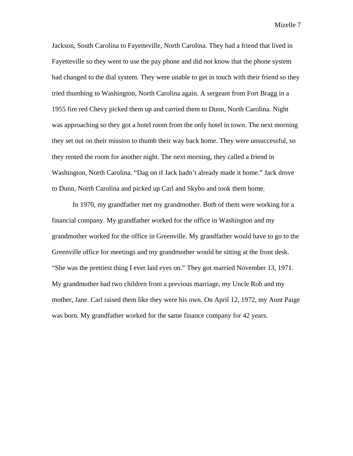Jackson, South Carolina to Fayetteville, North Carolina. They had a friend that lived in Fayetteville so they went to use the pay phone and did not know that the phone system had changed to the dial system. They were unable to get in touch with their friend so they tried thumbing to Washington, North Carolina again. A sergeant from Fort Bragg in a 1955 fire red Chevy picked them up and carried them to Dunn, North Carolina. Night was approaching so they got a hotel room from the only hotel in town. The next morning they set out on their mission to thumb their way back home. They were unsuccessful, so they rented the room for another night. The next morning, they called a friend in Washington, North Carolina. "Dag on if Jack hadn't already made it home." Jack drove to Dunn, North Carolina and picked up Carl and Skybo and took them home.

In 1970, my grandfather met my grandmother. Both of them were working for a financial company. My grandfather worked for the office in Washington and my grandmother worked for the office in Greenville. My grandfather would have to go to the Greenville office for meetings and my grandmother would be sitting at the front desk. "She was the prettiest thing I ever laid eyes on." They got married November 13, 1971. My grandmother had two children from a previous marriage, my Uncle Rob and my mother, Jane. Carl raised them like they were his own. On April 12, 1972, my Aunt Paige was born. My grandfather worked for the same finance company for 42 years.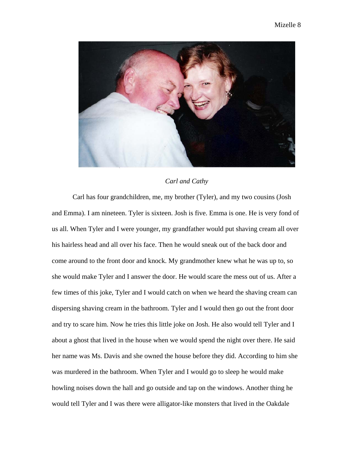

## *Carl and Cathy*

Carl has four grandchildren, me, my brother (Tyler), and my two cousins (Josh and Emma). I am nineteen. Tyler is sixteen. Josh is five. Emma is one. He is very fond of us all. When Tyler and I were younger, my grandfather would put shaving cream all over his hairless head and all over his face. Then he would sneak out of the back door and come around to the front door and knock. My grandmother knew what he was up to, so she would make Tyler and I answer the door. He would scare the mess out of us. After a few times of this joke, Tyler and I would catch on when we heard the shaving cream can dispersing shaving cream in the bathroom. Tyler and I would then go out the front door and try to scare him. Now he tries this little joke on Josh. He also would tell Tyler and I about a ghost that lived in the house when we would spend the night over there. He said her name was Ms. Davis and she owned the house before they did. According to him she was murdered in the bathroom. When Tyler and I would go to sleep he would make howling noises down the hall and go outside and tap on the windows. Another thing he would tell Tyler and I was there were alligator-like monsters that lived in the Oakdale